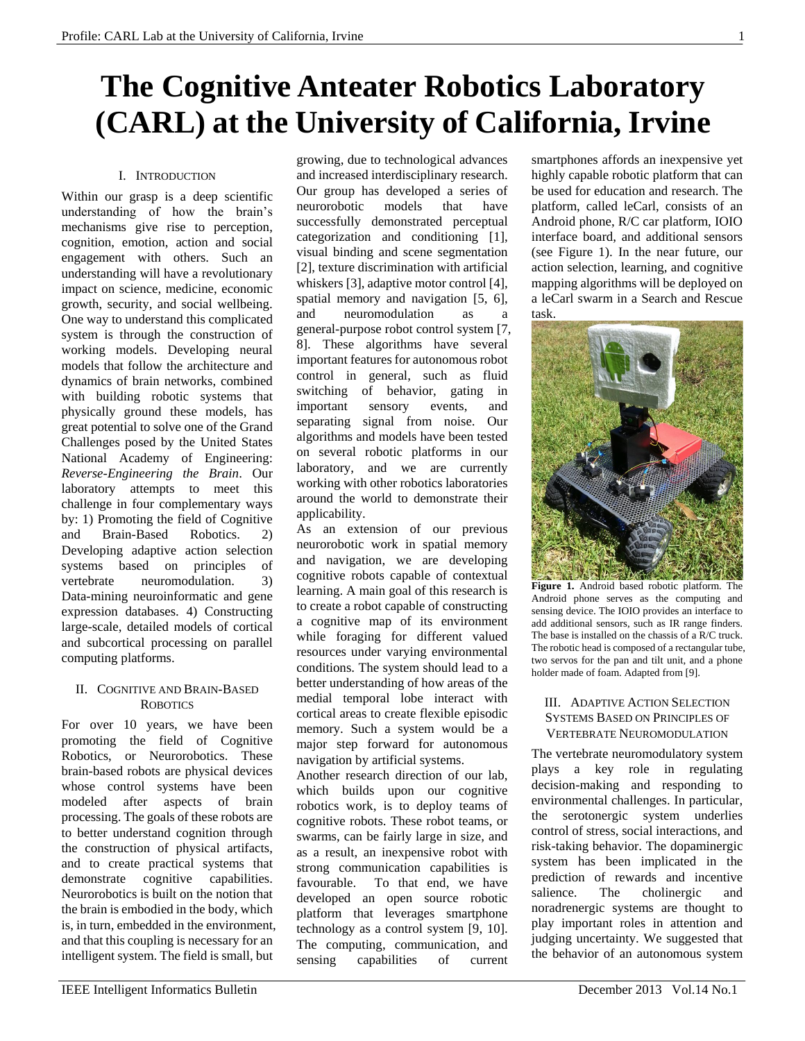# **The Cognitive Anteater Robotics Laboratory (CARL) at the University of California, Irvine**

## I. INTRODUCTION

Within our grasp is a deep scientific understanding of how the brain's mechanisms give rise to perception, cognition, emotion, action and social engagement with others. Such an understanding will have a revolutionary impact on science, medicine, economic growth, security, and social wellbeing. One way to understand this complicated system is through the construction of working models. Developing neural models that follow the architecture and dynamics of brain networks, combined with building robotic systems that physically ground these models, has great potential to solve one of the Grand Challenges posed by the United States National Academy of Engineering: *Reverse-Engineering the Brain*. Our laboratory attempts to meet this challenge in four complementary ways by: 1) Promoting the field of Cognitive and Brain-Based Robotics. 2) Developing adaptive action selection systems based on principles of vertebrate neuromodulation. 3) Data-mining neuroinformatic and gene expression databases. 4) Constructing large-scale, detailed models of cortical and subcortical processing on parallel computing platforms.

## II. COGNITIVE AND BRAIN-BASED **ROBOTICS**

For over 10 years, we have been promoting the field of Cognitive Robotics, or Neurorobotics. These brain-based robots are physical devices whose control systems have been modeled after aspects of brain processing. The goals of these robots are to better understand cognition through the construction of physical artifacts, and to create practical systems that demonstrate cognitive capabilities. Neurorobotics is built on the notion that the brain is embodied in the body, which is, in turn, embedded in the environment, and that this coupling is necessary for an intelligent system. The field is small, but growing, due to technological advances and increased interdisciplinary research. Our group has developed a series of neurorobotic models that have successfully demonstrated perceptual categorization and conditioning [\[1\]](#page-2-0), visual binding and scene segmentation [\[2\]](#page-2-1), texture discrimination with artificial whiskers [\[3\]](#page-2-2), adaptive motor control [\[4\]](#page-2-3), spatial memory and navigation [\[5,](#page-2-4) [6\]](#page-2-5), and neuromodulation as a general-purpose robot control system [\[7,](#page-2-6)  [8\]](#page-2-7). These algorithms have several important features for autonomous robot control in general, such as fluid switching of behavior, gating in important sensory events, and separating signal from noise. Our algorithms and models have been tested on several robotic platforms in our laboratory, and we are currently working with other robotics laboratories around the world to demonstrate their applicability.

As an extension of our previous neurorobotic work in spatial memory and navigation, we are developing cognitive robots capable of contextual learning. A main goal of this research is to create a robot capable of constructing a cognitive map of its environment while foraging for different valued resources under varying environmental conditions. The system should lead to a better understanding of how areas of the medial temporal lobe interact with cortical areas to create flexible episodic memory. Such a system would be a major step forward for autonomous navigation by artificial systems.

Another research direction of our lab, which builds upon our cognitive robotics work, is to deploy teams of cognitive robots. These robot teams, or swarms, can be fairly large in size, and as a result, an inexpensive robot with strong communication capabilities is favourable. To that end, we have developed an open source robotic platform that leverages smartphone technology as a control system [\[9,](#page-2-8) [10\]](#page-3-0). The computing, communication, and sensing capabilities of current smartphones affords an inexpensive yet highly capable robotic platform that can be used for education and research. The platform, called leCarl, consists of an Android phone, R/C car platform, IOIO interface board, and additional sensors (see Figure 1). In the near future, our action selection, learning, and cognitive mapping algorithms will be deployed on a leCarl swarm in a Search and Rescue task.



**Figure 1.** Android based robotic platform. The Android phone serves as the computing and sensing device. The IOIO provides an interface to add additional sensors, such as IR range finders. The base is installed on the chassis of a R/C truck. The robotic head is composed of a rectangular tube, two servos for the pan and tilt unit, and a phone holder made of foam. Adapted from [\[9\]](#page-2-8).

#### III. ADAPTIVE ACTION SELECTION SYSTEMS BASED ON PRINCIPLES OF VERTEBRATE NEUROMODULATION

The vertebrate neuromodulatory system plays a key role in regulating decision-making and responding to environmental challenges. In particular, the serotonergic system underlies control of stress, social interactions, and risk-taking behavior. The dopaminergic system has been implicated in the prediction of rewards and incentive salience. The cholinergic and noradrenergic systems are thought to play important roles in attention and judging uncertainty. We suggested that the behavior of an autonomous system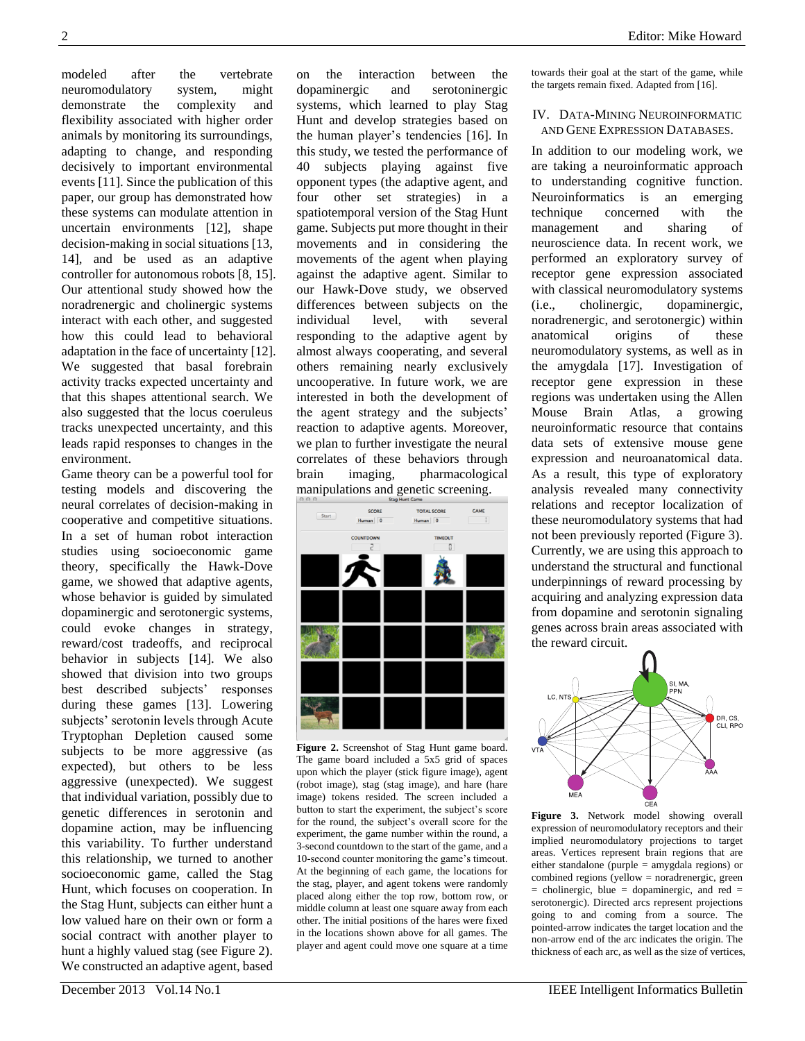modeled after the vertebrate neuromodulatory system, might demonstrate the complexity and flexibility associated with higher order animals by monitoring its surroundings, adapting to change, and responding decisively to important environmental events [\[11\]](#page-3-1). Since the publication of this paper, our group has demonstrated how these systems can modulate attention in uncertain environments [\[12\]](#page-3-2), shape decision-making in social situations [\[13,](#page-3-3) [14\]](#page-3-4), and be used as an adaptive controller for autonomous robots [\[8,](#page-2-7) [15\]](#page-3-5). Our attentional study showed how the noradrenergic and cholinergic systems interact with each other, and suggested how this could lead to behavioral adaptation in the face of uncertainty [\[12\]](#page-3-2). We suggested that basal forebrain activity tracks expected uncertainty and that this shapes attentional search. We also suggested that the locus coeruleus tracks unexpected uncertainty, and this leads rapid responses to changes in the environment.

Game theory can be a powerful tool for testing models and discovering the neural correlates of decision-making in cooperative and competitive situations. In a set of human robot interaction studies using socioeconomic game theory, specifically the Hawk-Dove game, we showed that adaptive agents, whose behavior is guided by simulated dopaminergic and serotonergic systems, could evoke changes in strategy, reward/cost tradeoffs, and reciprocal behavior in subjects [\[14\]](#page-3-4). We also showed that division into two groups best described subjects' responses during these games [\[13\]](#page-3-3). Lowering subjects' serotonin levels through Acute Tryptophan Depletion caused some subjects to be more aggressive (as expected), but others to be less aggressive (unexpected). We suggest that individual variation, possibly due to genetic differences in serotonin and dopamine action, may be influencing this variability. To further understand this relationship, we turned to another socioeconomic game, called the Stag Hunt, which focuses on cooperation. In the Stag Hunt, subjects can either hunt a low valued hare on their own or form a social contract with another player to hunt a highly valued stag (see Figure 2). We constructed an adaptive agent, based

on the interaction between the dopaminergic and serotoninergic systems, which learned to play Stag Hunt and develop strategies based on the human player's tendencies [\[16\]](#page-3-6). In this study, we tested the performance of 40 subjects playing against five opponent types (the adaptive agent, and four other set strategies) in a spatiotemporal version of the Stag Hunt game. Subjects put more thought in their movements and in considering the movements of the agent when playing against the adaptive agent. Similar to our Hawk-Dove study, we observed differences between subjects on the individual level, with several responding to the adaptive agent by almost always cooperating, and several others remaining nearly exclusively uncooperative. In future work, we are interested in both the development of the agent strategy and the subjects' reaction to adaptive agents. Moreover, we plan to further investigate the neural correlates of these behaviors through brain imaging, pharmacological manipulations and genetic screening.



**Figure 2.** Screenshot of Stag Hunt game board. The game board included a 5x5 grid of spaces upon which the player (stick figure image), agent (robot image), stag (stag image), and hare (hare image) tokens resided. The screen included a button to start the experiment, the subject's score for the round, the subject's overall score for the experiment, the game number within the round, a 3-second countdown to the start of the game, and a 10-second counter monitoring the game's timeout. At the beginning of each game, the locations for the stag, player, and agent tokens were randomly placed along either the top row, bottom row, or middle column at least one square away from each other. The initial positions of the hares were fixed in the locations shown above for all games. The player and agent could move one square at a time towards their goal at the start of the game, while the targets remain fixed. Adapted from [\[16\]](#page-3-6).

#### IV. DATA-MINING NEUROINFORMATIC AND GENE EXPRESSION DATABASES.

In addition to our modeling work, we are taking a neuroinformatic approach to understanding cognitive function. Neuroinformatics is an emerging technique concerned with the management and sharing of neuroscience data. In recent work, we performed an exploratory survey of receptor gene expression associated with classical neuromodulatory systems (i.e., cholinergic, dopaminergic, noradrenergic, and serotonergic) within anatomical origins of these neuromodulatory systems, as well as in the amygdala [\[17\]](#page-3-7). Investigation of receptor gene expression in these regions was undertaken using the Allen Mouse Brain Atlas, a growing neuroinformatic resource that contains data sets of extensive mouse gene expression and neuroanatomical data. As a result, this type of exploratory analysis revealed many connectivity relations and receptor localization of these neuromodulatory systems that had not been previously reported (Figure 3). Currently, we are using this approach to understand the structural and functional underpinnings of reward processing by acquiring and analyzing expression data from dopamine and serotonin signaling genes across brain areas associated with the reward circuit.



**Figure 3.** Network model showing overall expression of neuromodulatory receptors and their implied neuromodulatory projections to target areas. Vertices represent brain regions that are either standalone (purple = amygdala regions) or combined regions (yellow = noradrenergic, green  $=$  cholinergic, blue  $=$  dopaminergic, and red  $=$ serotonergic). Directed arcs represent projections going to and coming from a source. The pointed-arrow indicates the target location and the non-arrow end of the arc indicates the origin. The thickness of each arc, as well as the size of vertices,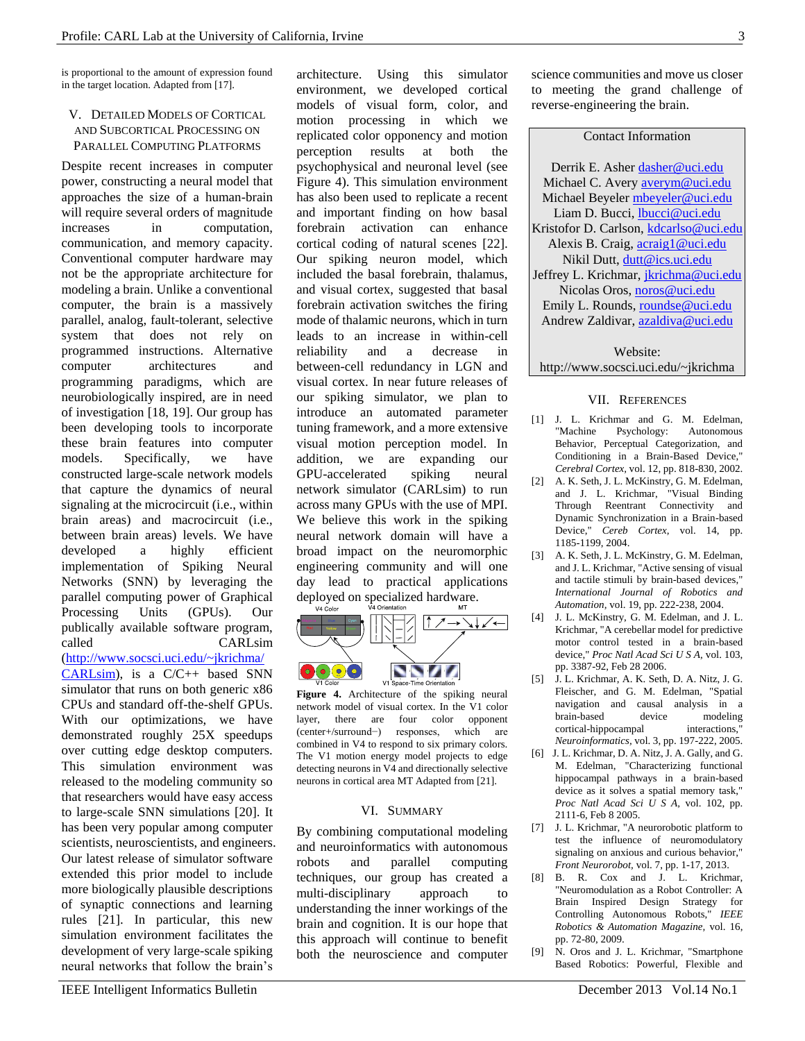is proportional to the amount of expression found in the target location. Adapted from [\[17\]](#page-3-7).

## V. DETAILED MODELS OF CORTICAL AND SUBCORTICAL PROCESSING ON PARALLEL COMPUTING PLATFORMS

Despite recent increases in computer power, constructing a neural model that approaches the size of a human-brain will require several orders of magnitude increases in computation, communication, and memory capacity. Conventional computer hardware may not be the appropriate architecture for modeling a brain. Unlike a conventional computer, the brain is a massively parallel, analog, fault-tolerant, selective system that does not rely on programmed instructions. Alternative computer architectures and programming paradigms, which are neurobiologically inspired, are in need of investigation [\[18,](#page-3-8) [19\]](#page-3-9). Our group has been developing tools to incorporate these brain features into computer models. Specifically, we have constructed large-scale network models that capture the dynamics of neural signaling at the microcircuit (i.e., within brain areas) and macrocircuit (i.e., between brain areas) levels. We have developed a highly efficient implementation of Spiking Neural Networks (SNN) by leveraging the parallel computing power of Graphical Processing Units (GPUs). Our publically available software program, called CARLsim [\(http://www.socsci.uci.edu/~jkrichma/](http://www.socsci.uci.edu/~jkrichma/CARLsim) [CARLsim\)](http://www.socsci.uci.edu/~jkrichma/CARLsim), is a C/C++ based SNN simulator that runs on both generic x86 CPUs and standard off-the-shelf GPUs. With our optimizations, we have demonstrated roughly 25X speedups over cutting edge desktop computers. This simulation environment was released to the modeling community so that researchers would have easy access to large-scale SNN simulations [\[20\]](#page-3-10). It has been very popular among computer scientists, neuroscientists, and engineers. Our latest release of simulator software extended this prior model to include more biologically plausible descriptions of synaptic connections and learning rules [\[21\]](#page-3-11). In particular, this new simulation environment facilitates the development of very large-scale spiking

architecture. Using this simulator environment, we developed cortical models of visual form, color, and motion processing in which we replicated color opponency and motion perception results at both the psychophysical and neuronal level (see Figure 4). This simulation environment has also been used to replicate a recent and important finding on how basal forebrain activation can enhance cortical coding of natural scenes [\[22\]](#page-3-12). Our spiking neuron model, which included the basal forebrain, thalamus, and visual cortex, suggested that basal forebrain activation switches the firing mode of thalamic neurons, which in turn leads to an increase in within-cell reliability and a decrease in between-cell redundancy in LGN and visual cortex. In near future releases of our spiking simulator, we plan to introduce an automated parameter tuning framework, and a more extensive visual motion perception model. In addition, we are expanding our GPU-accelerated spiking neural network simulator (CARLsim) to run across many GPUs with the use of MPI. We believe this work in the spiking neural network domain will have a broad impact on the neuromorphic engineering community and will one day lead to practical applications



**Figure 4.** Architecture of the spiking neural network model of visual cortex. In the V1 color layer, there are four color opponent (center+/surround−) responses, which are combined in V4 to respond to six primary colors. The V1 motion energy model projects to edge detecting neurons in V4 and directionally selective neurons in cortical area MT Adapted from [\[21\]](#page-3-11).

#### VI. SUMMARY

By combining computational modeling and neuroinformatics with autonomous robots and parallel computing techniques, our group has created a multi-disciplinary approach to understanding the inner workings of the brain and cognition. It is our hope that this approach will continue to benefit both the neuroscience and computer

science communities and move us closer to meeting the grand challenge of reverse-engineering the brain.

#### Contact Information

Derrik E. Ashe[r dasher@uci.edu](mailto:dasher@uci.edu) Michael C. Avery [averym@uci.edu](mailto:averym@uci.edu) Michael Beyeler [mbeyeler@uci.edu](mailto:mbeyeler@uci.edu) Liam D. Bucci, [lbucci@uci.edu](mailto:controls.freq@gmail.com) Kristofor D. Carlson, [kdcarlso@uci.edu](mailto:kdcarlso@uci.edu) Alexis B. Craig[, acraig1@uci.edu](mailto:acraig1@uci.edu) Nikil Dutt, [dutt@ics.uci.edu](mailto:dutt@ics.uci.edu) Jeffrey L. Krichmar, [jkrichma@uci.edu](mailto:jkrichma@uci.edu) Nicolas Oros, [noros@uci.edu](mailto:noros@uci.edu) Emily L. Rounds, [roundse@uci.edu](mailto:roundse@uci.edu) Andrew Zaldivar, [azaldiva@uci.edu](mailto:azaldiva@uci.edu)

# Website: http://www.socsci.uci.edu/~jkrichma

#### VII. REFERENCES

- <span id="page-2-0"></span>[1] J. L. Krichmar and G. M. Edelman, "Machine Psychology: Autonomous Behavior, Perceptual Categorization, and Conditioning in a Brain-Based Device," *Cerebral Cortex,* vol. 12, pp. 818-830, 2002.
- <span id="page-2-1"></span>[2] A. K. Seth, J. L. McKinstry, G. M. Edelman, and J. L. Krichmar, "Visual Binding Through Reentrant Connectivity and Dynamic Synchronization in a Brain-based Device," *Cereb Cortex,* vol. 14, pp. 1185-1199, 2004.
- <span id="page-2-2"></span>[3] A. K. Seth, J. L. McKinstry, G. M. Edelman, and J. L. Krichmar, "Active sensing of visual and tactile stimuli by brain-based devices," *International Journal of Robotics and Automation,* vol. 19, pp. 222-238, 2004.
- <span id="page-2-3"></span>[4] J. L. McKinstry, G. M. Edelman, and J. L. Krichmar, "A cerebellar model for predictive motor control tested in a brain-based device," *Proc Natl Acad Sci U S A,* vol. 103, pp. 3387-92, Feb 28 2006.
- <span id="page-2-4"></span>[5] J. L. Krichmar, A. K. Seth, D. A. Nitz, J. G. Fleischer, and G. M. Edelman, "Spatial navigation and causal analysis in a brain-based device modeling cortical-hippocampal interactions," *Neuroinformatics,* vol. 3, pp. 197-222, 2005.
- <span id="page-2-5"></span>[6] J. L. Krichmar, D. A. Nitz, J. A. Gally, and G. M. Edelman, "Characterizing functional hippocampal pathways in a brain-based device as it solves a spatial memory task," *Proc Natl Acad Sci U S A,* vol. 102, pp. 2111-6, Feb 8 2005.
- <span id="page-2-6"></span>[7] J. L. Krichmar, "A neurorobotic platform to test the influence of neuromodulatory signaling on anxious and curious behavior," *Front Neurorobot,* vol. 7, pp. 1-17, 2013.
- <span id="page-2-7"></span>[8] B. R. Cox and J. L. Krichmar, "Neuromodulation as a Robot Controller: A Brain Inspired Design Strategy for Controlling Autonomous Robots," *IEEE Robotics & Automation Magazine,* vol. 16, pp. 72-80, 2009.
- <span id="page-2-8"></span>[9] N. Oros and J. L. Krichmar, "Smartphone Based Robotics: Powerful, Flexible and

neural networks that follow the brain's